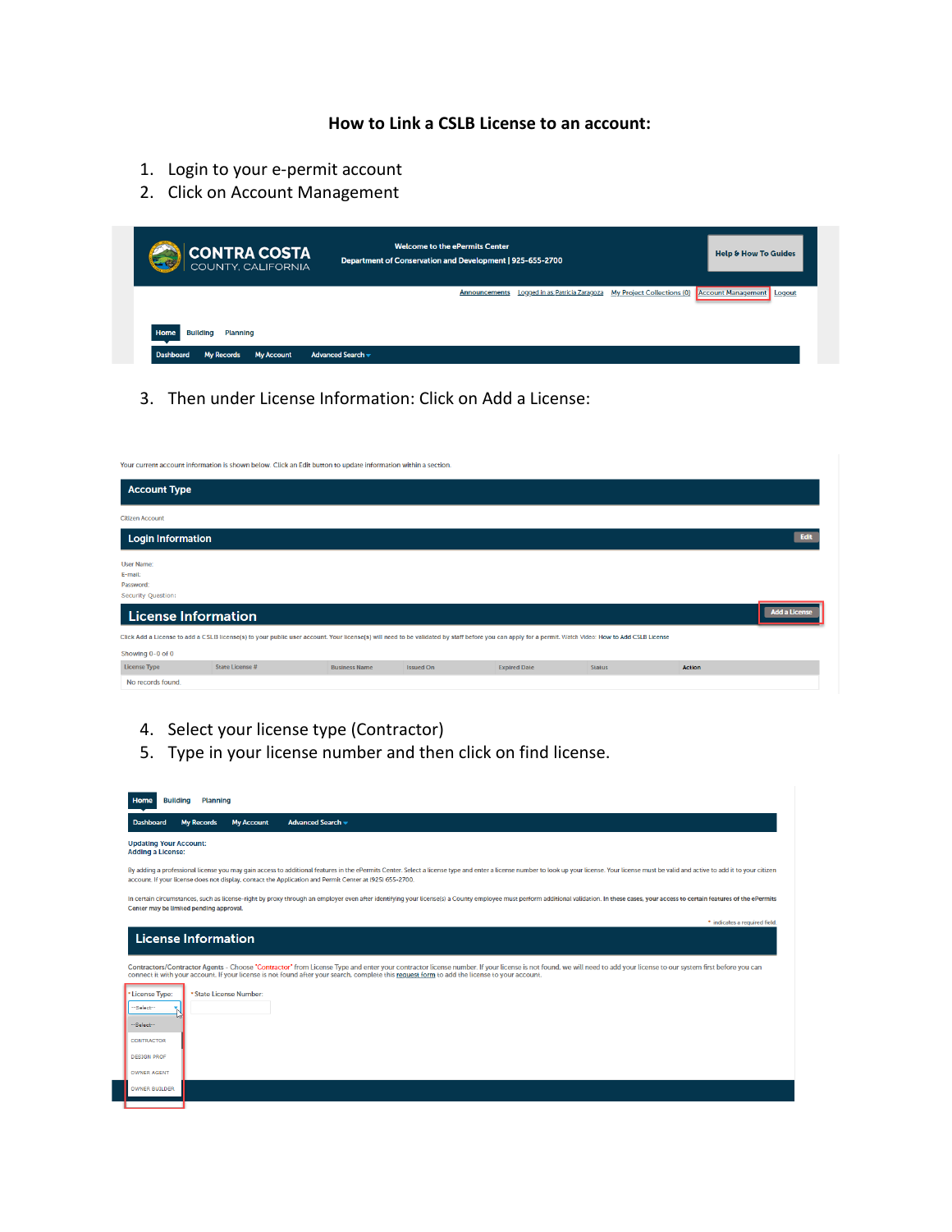## **How to Link a CSLB License to an account:**

- 1. Login to your e-permit account
- 2. Click on Account Management

| CONTRA COSTA                                                                                                    | <b>Welcome to the ePermits Center</b><br>Department of Conservation and Development   925-655-2700 |                                               |                                   | <b>Help &amp; How To Guides</b>     |
|-----------------------------------------------------------------------------------------------------------------|----------------------------------------------------------------------------------------------------|-----------------------------------------------|-----------------------------------|-------------------------------------|
|                                                                                                                 |                                                                                                    | Announcements Logged in as: Patricia Zaragoza | <b>My Project Collections (0)</b> | <b>Account Management</b><br>Logout |
|                                                                                                                 |                                                                                                    |                                               |                                   |                                     |
| <b>Home</b><br><b>Building</b><br><b>Planning</b><br><b>Dashboard</b><br><b>My Records</b><br><b>My Account</b> | Advanced Search -                                                                                  |                                               |                                   |                                     |

3. Then under License Information: Click on Add a License:

|                                                                 | Your current account information is shown below. Click an Edit button to update information within a section.                                                                                        |                      |                  |                     |               |               |                      |
|-----------------------------------------------------------------|------------------------------------------------------------------------------------------------------------------------------------------------------------------------------------------------------|----------------------|------------------|---------------------|---------------|---------------|----------------------|
| <b>Account Type</b>                                             |                                                                                                                                                                                                      |                      |                  |                     |               |               |                      |
| <b>Citizen Account</b>                                          |                                                                                                                                                                                                      |                      |                  |                     |               |               |                      |
| <b>Login Information</b>                                        |                                                                                                                                                                                                      |                      |                  |                     |               |               | Edit                 |
| <b>User Name:</b><br>E-mail:<br>Password:<br>Security Question: |                                                                                                                                                                                                      |                      |                  |                     |               |               |                      |
| <b>License Information</b>                                      |                                                                                                                                                                                                      |                      |                  |                     |               |               | <b>Add a License</b> |
|                                                                 | Click Add a License to add a CSLB license(s) to your public user account. Your license(s) will need to be validated by staff before you can apply for a permit. Watch Video: How to Add CSLB License |                      |                  |                     |               |               |                      |
| Showing 0-0 of 0                                                |                                                                                                                                                                                                      |                      |                  |                     |               |               |                      |
| <b>License Type</b>                                             | State License #                                                                                                                                                                                      | <b>Business Name</b> | <b>Issued On</b> | <b>Expired Date</b> | <b>Status</b> | <b>Action</b> |                      |
| No records found.                                               |                                                                                                                                                                                                      |                      |                  |                     |               |               |                      |

- 4. Select your license type (Contractor)
- 5. Type in your license number and then click on find license.